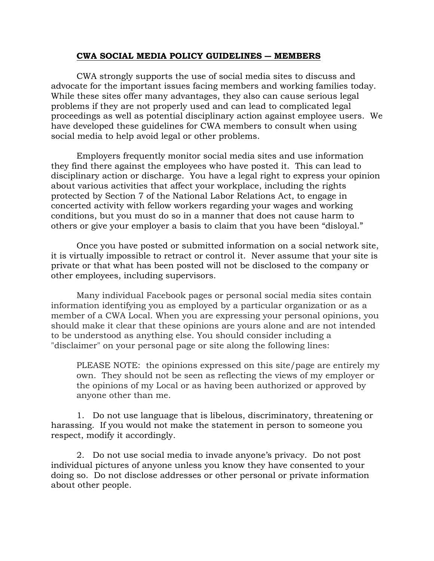## **CWA SOCIAL MEDIA POLICY GUIDELINES ― MEMBERS**

 CWA strongly supports the use of social media sites to discuss and advocate for the important issues facing members and working families today. While these sites offer many advantages, they also can cause serious legal problems if they are not properly used and can lead to complicated legal proceedings as well as potential disciplinary action against employee users. We have developed these guidelines for CWA members to consult when using social media to help avoid legal or other problems.

 Employers frequently monitor social media sites and use information they find there against the employees who have posted it. This can lead to disciplinary action or discharge. You have a legal right to express your opinion about various activities that affect your workplace, including the rights protected by Section 7 of the National Labor Relations Act, to engage in concerted activity with fellow workers regarding your wages and working conditions, but you must do so in a manner that does not cause harm to others or give your employer a basis to claim that you have been "disloyal."

 Once you have posted or submitted information on a social network site, it is virtually impossible to retract or control it. Never assume that your site is private or that what has been posted will not be disclosed to the company or other employees, including supervisors.

Many individual Facebook pages or personal social media sites contain information identifying you as employed by a particular organization or as a member of a CWA Local. When you are expressing your personal opinions, you should make it clear that these opinions are yours alone and are not intended to be understood as anything else. You should consider including a "disclaimer" on your personal page or site along the following lines:

PLEASE NOTE: the opinions expressed on this site/page are entirely my own. They should not be seen as reflecting the views of my employer or the opinions of my Local or as having been authorized or approved by anyone other than me.

 1. Do not use language that is libelous, discriminatory, threatening or harassing. If you would not make the statement in person to someone you respect, modify it accordingly.

 2. Do not use social media to invade anyone's privacy. Do not post individual pictures of anyone unless you know they have consented to your doing so. Do not disclose addresses or other personal or private information about other people.